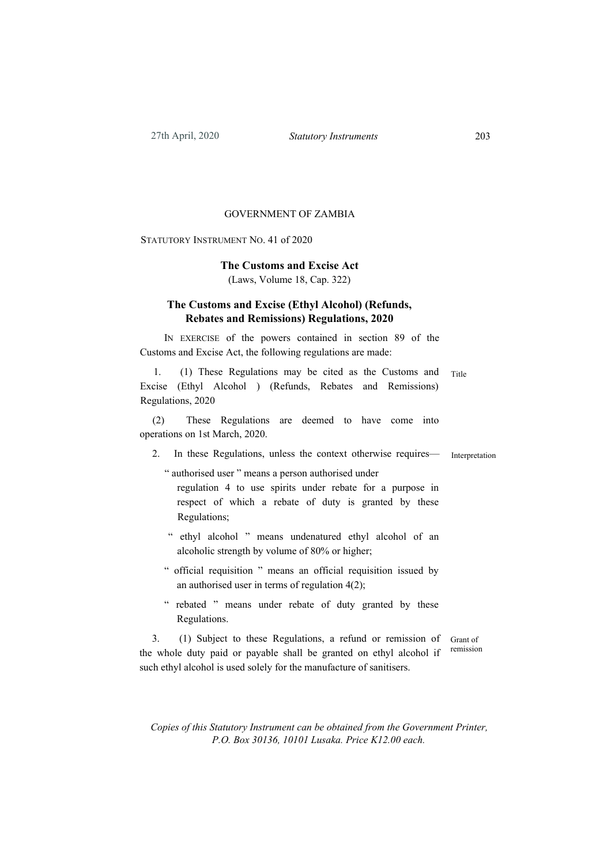#### GOVERNMENT OF ZAMBIA

Statutory Instrument No. 41 of 2020

# **The Customs and Excise Act**

(Laws, Volume 18, Cap. 322)

## **The Customs and Excise (Ethyl Alcohol) (Refunds, Rebates and Remissions) Regulations, 2020**

In exercise of the powers contained in section 89 of the Customs and Excise Act, the following regulations are made:

1. (1) These Regulations may be cited as the Customs and Title Excise (Ethyl Alcohol ) (Refunds, Rebates and Remissions) Regulations, 2020

(2) These Regulations are deemed to have come into operations on 1st March, 2020.

2. In these Regulations, unless the context otherwise requires—

Interpretation

" authorised user " means a person authorised under regulation 4 to use spirits under rebate for a purpose in respect of which a rebate of duty is granted by these Regulations;

- " ethyl alcohol " means undenatured ethyl alcohol of an alcoholic strength by volume of 80% or higher;
- " official requisition " means an official requisition issued by an authorised user in terms of regulation 4(2);
- " rebated " means under rebate of duty granted by these Regulations.

3. (1) Subject to these Regulations, a refund or remission of the whole duty paid or payable shall be granted on ethyl alcohol if such ethyl alcohol is used solely for the manufacture of sanitisers. Grant of remission

*Copies of this Statutory Instrument can be obtained from the Government Printer, P.O. Box 30136, 10101 Lusaka. Price K12.00 each.*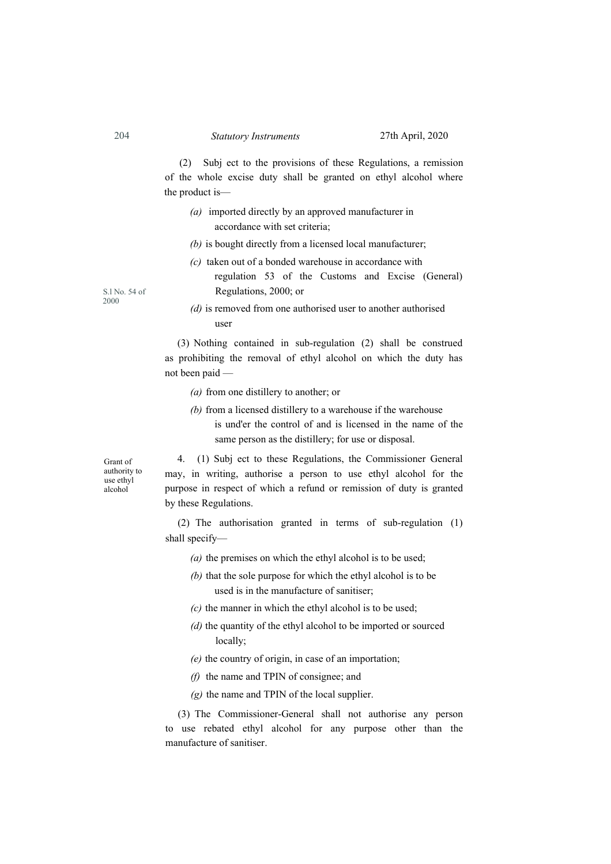## 204 *Statutory Instruments* 27th April, 2020

(2) Subj ect to the provisions of these Regulations, a remission of the whole excise duty shall be granted on ethyl alcohol where the product is—

- *(a)* imported directly by an approved manufacturer in accordance with set criteria;
- *(b)* is bought directly from a licensed local manufacturer;
- *(c)* taken out of a bonded warehouse in accordance with
	- regulation 53 of the Customs and Excise (General) Regulations, 2000; or

*(d)* is removed from one authorised user to another authorised user

(3) Nothing contained in sub-regulation (2) shall be construed as prohibiting the removal of ethyl alcohol on which the duty has not been paid —

- *(a)* from one distillery to another; or
- *(b)* from a licensed distillery to a warehouse if the warehouse
	- is und'er the control of and is licensed in the name of the same person as the distillery; for use or disposal.

Grant of authority to use ethyl alcohol

4. (1) Subj ect to these Regulations, the Commissioner General may, in writing, authorise a person to use ethyl alcohol for the purpose in respect of which a refund or remission of duty is granted by these Regulations.

(2) The authorisation granted in terms of sub-regulation (1) shall specify—

- *(a)* the premises on which the ethyl alcohol is to be used;
- *(b)* that the sole purpose for which the ethyl alcohol is to be used is in the manufacture of sanitiser;
- *(c)* the manner in which the ethyl alcohol is to be used;
- *(d)* the quantity of the ethyl alcohol to be imported or sourced locally;
- *(e)* the country of origin, in case of an importation;
- *(f)* the name and TPIN of consignee; and
- *(g)* the name and TPIN of the local supplier.

(3) The Commissioner-General shall not authorise any person to use rebated ethyl alcohol for any purpose other than the manufacture of sanitiser.

S.l No. 54 of 2000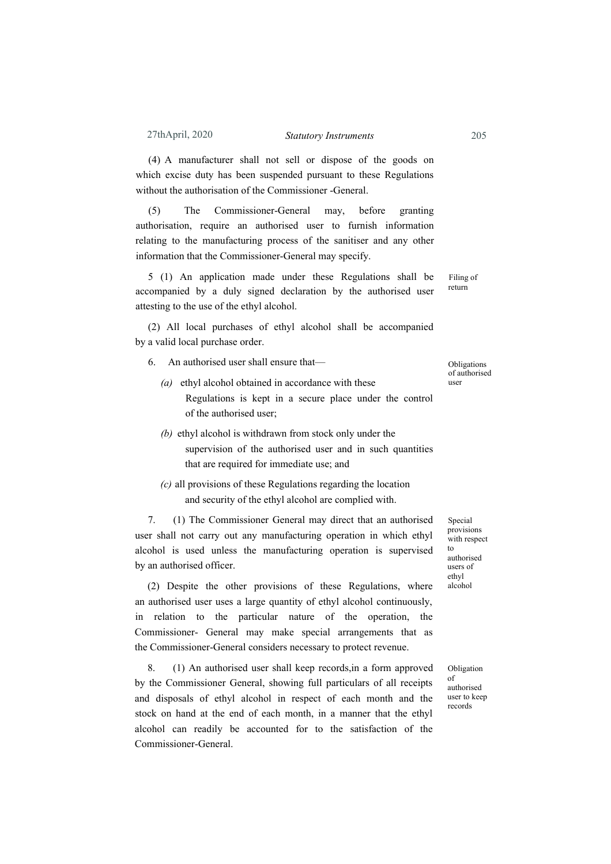### 27thApril, 2020 *Statutory Instruments* 205

(4) A manufacturer shall not sell or dispose of the goods on which excise duty has been suspended pursuant to these Regulations without the authorisation of the Commissioner -General.

(5) The Commissioner-General may, before granting authorisation, require an authorised user to furnish information relating to the manufacturing process of the sanitiser and any other information that the Commissioner-General may specify.

5 (1) An application made under these Regulations shall be accompanied by a duly signed declaration by the authorised user attesting to the use of the ethyl alcohol.

(2) All local purchases of ethyl alcohol shall be accompanied by a valid local purchase order.

- 6. An authorised user shall ensure that—
	- *(a)* ethyl alcohol obtained in accordance with these Regulations is kept in a secure place under the control of the authorised user;
	- *(b)* ethyl alcohol is withdrawn from stock only under the supervision of the authorised user and in such quantities that are required for immediate use; and
	- *(c)* all provisions of these Regulations regarding the location and security of the ethyl alcohol are complied with.

7. (1) The Commissioner General may direct that an authorised user shall not carry out any manufacturing operation in which ethyl alcohol is used unless the manufacturing operation is supervised by an authorised officer.

(2) Despite the other provisions of these Regulations, where an authorised user uses a large quantity of ethyl alcohol continuously, in relation to the particular nature of the operation, the Commissioner- General may make special arrangements that as the Commissioner-General considers necessary to protect revenue.

8. (1) An authorised user shall keep records,in a form approved by the Commissioner General, showing full particulars of all receipts and disposals of ethyl alcohol in respect of each month and the stock on hand at the end of each month, in a manner that the ethyl alcohol can readily be accounted for to the satisfaction of the Commissioner-General.

Special provisions with respect  $t_0$ authorised users of ethyl alcohol

Obligation of authorised user to keep records

**Obligations** of authorised

user

Filing of return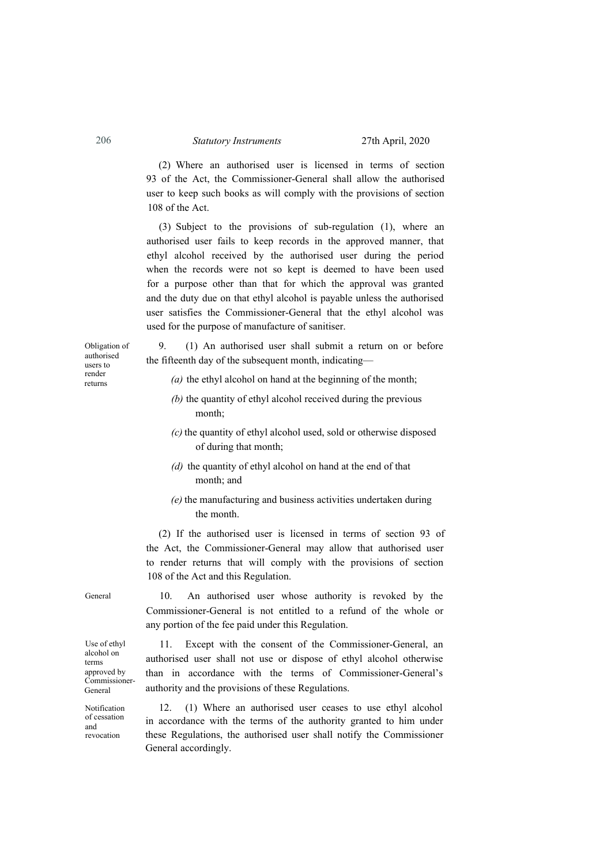(2) Where an authorised user is licensed in terms of section 93 of the Act, the Commissioner-General shall allow the authorised user to keep such books as will comply with the provisions of section 108 of the Act.

(3) Subject to the provisions of sub-regulation (1), where an authorised user fails to keep records in the approved manner, that ethyl alcohol received by the authorised user during the period when the records were not so kept is deemed to have been used for a purpose other than that for which the approval was granted and the duty due on that ethyl alcohol is payable unless the authorised user satisfies the Commissioner-General that the ethyl alcohol was used for the purpose of manufacture of sanitiser.

Obligation of authorised users to render returns

9. (1) An authorised user shall submit a return on or before the fifteenth day of the subsequent month, indicating—

- *(a)* the ethyl alcohol on hand at the beginning of the month;
- *(b)* the quantity of ethyl alcohol received during the previous month;
- *(c)* the quantity of ethyl alcohol used, sold or otherwise disposed of during that month;
- *(d)* the quantity of ethyl alcohol on hand at the end of that month; and
- *(e)* the manufacturing and business activities undertaken during the month.

(2) If the authorised user is licensed in terms of section 93 of the Act, the Commissioner-General may allow that authorised user to render returns that will comply with the provisions of section 108 of the Act and this Regulation.

Use of ethyl alcohol on terms approved by Commissioner-General

General

Notification of cessation and revocation

10. An authorised user whose authority is revoked by the Commissioner-General is not entitled to a refund of the whole or any portion of the fee paid under this Regulation.

11. Except with the consent of the Commissioner-General, an authorised user shall not use or dispose of ethyl alcohol otherwise than in accordance with the terms of Commissioner-General's authority and the provisions of these Regulations.

12. (1) Where an authorised user ceases to use ethyl alcohol in accordance with the terms of the authority granted to him under these Regulations, the authorised user shall notify the Commissioner General accordingly.